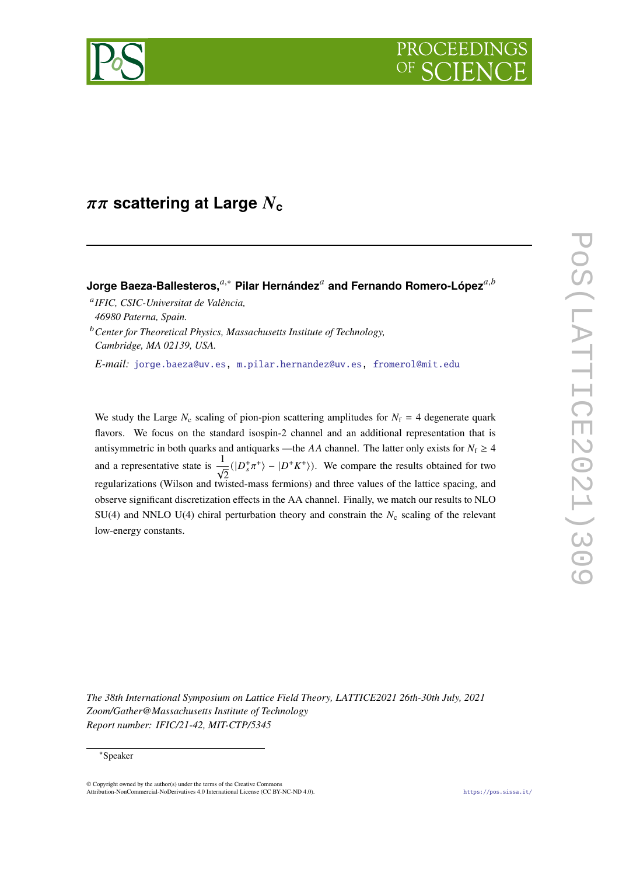



# $\pi\pi$  scattering at Large  $N_c$

# Jorge Baeza-Ballesteros,<sup>∉,∗</sup> Pilar Hernández<sup>∉</sup> and Fernando Romero-López<sup>∉,ゟ</sup>

 *IFIC, CSIC-Universitat de València, 46980 Paterna, Spain.*

*Center for Theoretical Physics, Massachusetts Institute of Technology, Cambridge, MA 02139, USA.*

*E-mail:* [jorge.baeza@uv.es,](mailto:jorge.baeza@uv.es) [m.pilar.hernandez@uv.es,](mailto:m.pilar.hernandez@uv.es) [fromerol@mit.edu](mailto:fromerol@mit.edu)

We study the Large  $N_c$  scaling of pion-pion scattering amplitudes for  $N_f = 4$  degenerate quark flavors. We focus on the standard isospin-2 channel and an additional representation that is antisymmetric in both quarks and antiquarks —the AA channel. The latter only exists for  $N_f \geq 4$ and a representative state is  $\frac{1}{\sqrt{2}}$ 2  $(|D_s^+\pi^+\rangle - |D^+K^+\rangle)$ . We compare the results obtained for two regularizations (Wilson and twisted-mass fermions) and three values of the lattice spacing, and observe significant discretization effects in the AA channel. Finally, we match our results to NLO SU(4) and NNLO U(4) chiral perturbation theory and constrain the  $N_c$  scaling of the relevant low-energy constants.

*The 38th International Symposium on Lattice Field Theory, LATTICE2021 26th-30th July, 2021 Zoom/Gather@Massachusetts Institute of Technology Report number: IFIC/21-42, MIT-CTP/5345*

#### <sup>∗</sup>Speaker

 $\odot$  Copyright owned by the author(s) under the terms of the Creative Common Attribution-NonCommercial-NoDerivatives 4.0 International License (CC BY-NC-ND 4.0). <https://pos.sissa.it/>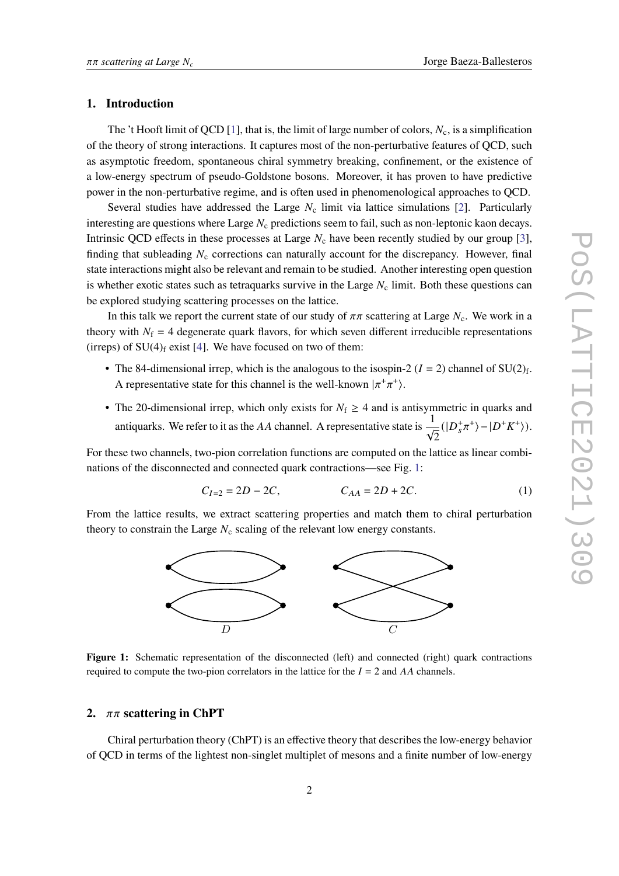#### **1. Introduction**

The 't Hooft limit of QCD [\[1\]](#page-8-0), that is, the limit of large number of colors,  $N_c$ , is a simplification of the theory of strong interactions. It captures most of the non-perturbative features of QCD, such as asymptotic freedom, spontaneous chiral symmetry breaking, confinement, or the existence of a low-energy spectrum of pseudo-Goldstone bosons. Moreover, it has proven to have predictive power in the non-perturbative regime, and is often used in phenomenological approaches to QCD.

Several studies have addressed the Large  $N_c$  limit via lattice simulations [\[2\]](#page-8-1). Particularly interesting are questions where Large  $N_c$  predictions seem to fail, such as non-leptonic kaon decays. Intrinsic QCD effects in these processes at Large  $N_c$  have been recently studied by our group [\[3\]](#page-8-2), finding that subleading  $N_c$  corrections can naturally account for the discrepancy. However, final state interactions might also be relevant and remain to be studied. Another interesting open question is whether exotic states such as tetraquarks survive in the Large  $N_c$  limit. Both these questions can be explored studying scattering processes on the lattice.

In this talk we report the current state of our study of  $\pi\pi$  scattering at Large  $N_c$ . We work in a theory with  $N_f = 4$  degenerate quark flavors, for which seven different irreducible representations (irreps) of  $SU(4)$ <sub>f</sub> exist [\[4\]](#page-8-3). We have focused on two of them:

- The 84-dimensional irrep, which is the analogous to the isospin-2 ( $I = 2$ ) channel of SU(2)<sub>f</sub>. A representative state for this channel is the well-known  $|\pi^+\pi^+\rangle$ .
- The 20-dimensional irrep, which only exists for  $N_f \geq 4$  and is antisymmetric in quarks and antiquarks. We refer to it as the AA channel. A representative state is  $\frac{1}{4}$ 2  $(|D_s^+\pi^+\rangle - |D^+K^+\rangle).$

For these two channels, two-pion correlation functions are computed on the lattice as linear combinations of the disconnected and connected quark contractions—see Fig. [1:](#page-1-0)

$$
C_{I=2} = 2D - 2C, \t C_{AA} = 2D + 2C.
$$
 (1)

<span id="page-1-0"></span>From the lattice results, we extract scattering properties and match them to chiral perturbation theory to constrain the Large  $N_c$  scaling of the relevant low energy constants.



**Figure 1:** Schematic representation of the disconnected (left) and connected (right) quark contractions required to compute the two-pion correlators in the lattice for the  $I = 2$  and AA channels.

## 2.  $\pi \pi$  scattering in ChPT

Chiral perturbation theory (ChPT) is an effective theory that describes the low-energy behavior of QCD in terms of the lightest non-singlet multiplet of mesons and a finite number of low-energy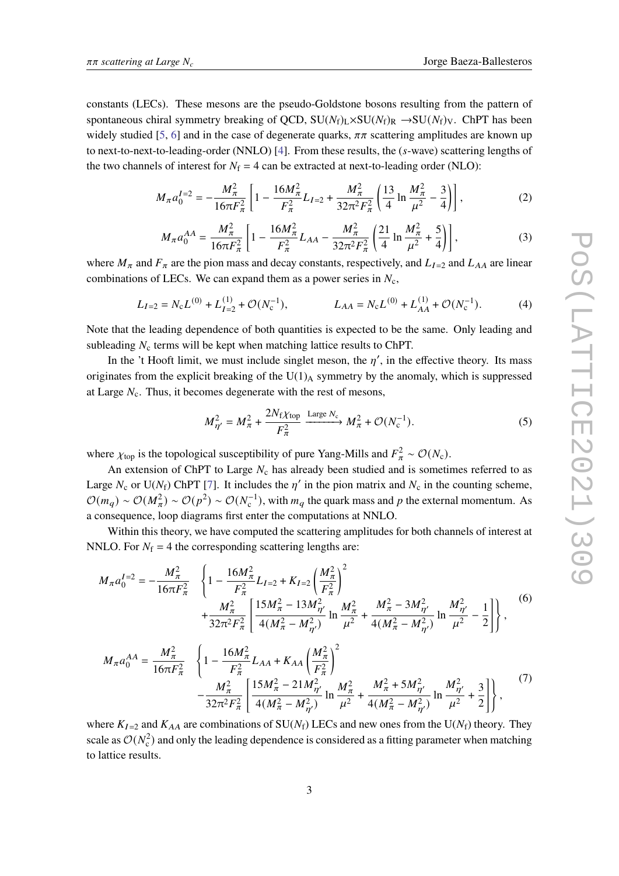constants (LECs). These mesons are the pseudo-Goldstone bosons resulting from the pattern of spontaneous chiral symmetry breaking of QCD,  $SU(N_f)_L \times SU(N_f)_R \rightarrow SU(N_f)_V$ . ChPT has been widely studied [\[5,](#page-8-4) [6\]](#page-8-5) and in the case of degenerate quarks,  $\pi \pi$  scattering amplitudes are known up to next-to-next-to-leading-order (NNLO) [\[4\]](#page-8-3). From these results, the  $(s$ -wave) scattering lengths of the two channels of interest for  $N_f = 4$  can be extracted at next-to-leading order (NLO):

$$
M_{\pi} a_0^{I=2} = -\frac{M_{\pi}^2}{16\pi F_{\pi}^2} \left[ 1 - \frac{16M_{\pi}^2}{F_{\pi}^2} L_{I=2} + \frac{M_{\pi}^2}{32\pi^2 F_{\pi}^2} \left( \frac{13}{4} \ln \frac{M_{\pi}^2}{\mu^2} - \frac{3}{4} \right) \right],
$$
 (2)

$$
M_{\pi} a_0^{AA} = \frac{M_{\pi}^2}{16\pi F_{\pi}^2} \left[ 1 - \frac{16M_{\pi}^2}{F_{\pi}^2} L_{AA} - \frac{M_{\pi}^2}{32\pi^2 F_{\pi}^2} \left( \frac{21}{4} \ln \frac{M_{\pi}^2}{\mu^2} + \frac{5}{4} \right) \right],
$$
 (3)

where  $M_{\pi}$  and  $F_{\pi}$  are the pion mass and decay constants, respectively, and  $L_{I=2}$  and  $L_{AA}$  are linear combinations of LECs. We can expand them as a power series in  $N_c$ ,

$$
L_{I=2} = N_{\rm c} L^{(0)} + L_{I=2}^{(1)} + \mathcal{O}(N_{\rm c}^{-1}), \qquad L_{AA} = N_{\rm c} L^{(0)} + L_{AA}^{(1)} + \mathcal{O}(N_{\rm c}^{-1}). \tag{4}
$$

Note that the leading dependence of both quantities is expected to be the same. Only leading and subleading  $N_c$  terms will be kept when matching lattice results to ChPT.

In the 't Hooft limit, we must include singlet meson, the  $\eta'$ , in the effective theory. Its mass originates from the explicit breaking of the  $U(1)_A$  symmetry by the anomaly, which is suppressed at Large  $N_c$ . Thus, it becomes degenerate with the rest of mesons,

$$
M_{\eta'}^2 = M_\pi^2 + \frac{2N_f\chi_{\text{top}}}{F_\pi^2} \xrightarrow{\text{Large } N_c} M_\pi^2 + \mathcal{O}(N_c^{-1}).\tag{5}
$$

where  $\chi_{\text{top}}$  is the topological susceptibility of pure Yang-Mills and  $F_{\pi}^2 \sim \mathcal{O}(N_c)$ .

An extension of ChPT to Large  $N_c$  has already been studied and is sometimes referred to as Large  $N_c$  or U( $N_f$ ) ChPT [\[7\]](#page-9-0). It includes the  $\eta'$  in the pion matrix and  $N_c$  in the counting scheme,  $\mathcal{O}(m_q) \sim \mathcal{O}(M_\pi^2) \sim \mathcal{O}(p^2) \sim \mathcal{O}(N_c^{-1})$ , with  $m_q$  the quark mass and p the external momentum. As a consequence, loop diagrams first enter the computations at NNLO.

Within this theory, we have computed the scattering amplitudes for both channels of interest at NNLO. For  $N_f = 4$  the corresponding scattering lengths are:

$$
M_{\pi}a_0^{I=2} = -\frac{M_{\pi}^2}{16\pi F_{\pi}^2} \left\{ 1 - \frac{16M_{\pi}^2}{F_{\pi}^2} L_{I=2} + K_{I=2} \left(\frac{M_{\pi}^2}{F_{\pi}^2}\right)^2 + \frac{M_{\pi}^2}{32\pi^2 F_{\pi}^2} \left[ \frac{15M_{\pi}^2 - 13M_{\eta'}^2}{4(M_{\pi}^2 - M_{\eta'}^2)} \ln \frac{M_{\pi}^2}{\mu^2} + \frac{M_{\pi}^2 - 3M_{\eta'}^2}{4(M_{\pi}^2 - M_{\eta'}^2)} \ln \frac{M_{\eta'}^2}{\mu^2} - \frac{1}{2} \right] \right\},
$$
 (6)

$$
M_{\pi}a_0^{AA} = \frac{M_{\pi}^2}{16\pi F_{\pi}^2} \left\{ 1 - \frac{16M_{\pi}^2}{F_{\pi}^2} L_{AA} + K_{AA} \left(\frac{M_{\pi}^2}{F_{\pi}^2}\right)^2 - \frac{M_{\pi}^2}{32\pi^2 F_{\pi}^2} \left[ \frac{15M_{\pi}^2 - 21M_{\eta'}^2}{4(M_{\pi}^2 - M_{\eta'}^2)} \ln \frac{M_{\pi}^2}{\mu^2} + \frac{M_{\pi}^2 + 5M_{\eta'}^2}{4(M_{\pi}^2 - M_{\eta'}^2)} \ln \frac{M_{\eta'}^2}{\mu^2} + \frac{3}{2} \right] \right\},
$$
\n(7)

where  $K_{I=2}$  and  $K_{AA}$  are combinations of SU( $N_f$ ) LECs and new ones from the U( $N_f$ ) theory. They scale as  $\mathcal{O}(N_c^2)$  and only the leading dependence is considered as a fitting parameter when matching to lattice results.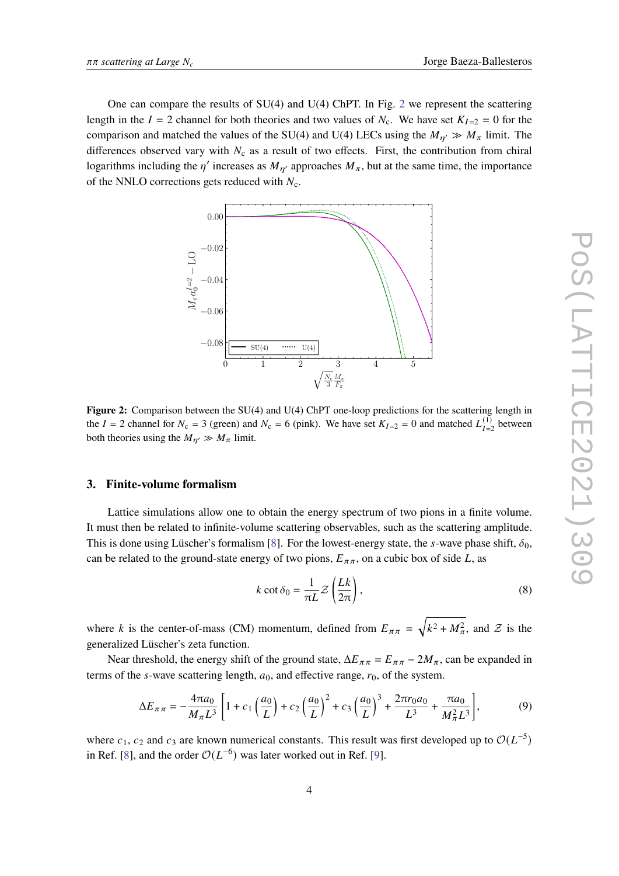One can compare the results of  $SU(4)$  and  $U(4)$  ChPT. In Fig. [2](#page-3-0) we represent the scattering length in the  $I = 2$  channel for both theories and two values of  $N_c$ . We have set  $K_{I=2} = 0$  for the comparison and matched the values of the SU(4) and U(4) LECs using the  $M_{\eta\gamma} \gg M_{\pi}$  limit. The differences observed vary with  $N_c$  as a result of two effects. First, the contribution from chiral logarithms including the  $\eta'$  increases as  $M_{\eta'}$  approaches  $M_{\pi}$ , but at the same time, the importance of the NNLO corrections gets reduced with  $N_c$ .

<span id="page-3-0"></span>

**Figure 2:** Comparison between the SU(4) and U(4) ChPT one-loop predictions for the scattering length in the  $I = 2$  channel for  $N_c = 3$  (green) and  $N_c = 6$  (pink). We have set  $K_{I=2} = 0$  and matched  $L_{I=2}^{(1)}$  between both theories using the  $M_{\eta\prime} \gg M_{\pi}$  limit.

### **3. Finite-volume formalism**

Lattice simulations allow one to obtain the energy spectrum of two pions in a finite volume. It must then be related to infinite-volume scattering observables, such as the scattering amplitude. This is done using Lüscher's formalism [\[8\]](#page-9-1). For the lowest-energy state, the s-wave phase shift,  $\delta_0$ , can be related to the ground-state energy of two pions,  $E_{\pi\pi}$ , on a cubic box of side L, as

$$
k \cot \delta_0 = \frac{1}{\pi L} \mathcal{Z} \left( \frac{Lk}{2\pi} \right),\tag{8}
$$

where k is the center-of-mass (CM) momentum, defined from  $E_{\pi\pi} = \sqrt{k^2 + M_{\pi}^2}$ , and  $\mathcal{Z}$  is the generalized Lüscher's zeta function.

Near threshold, the energy shift of the ground state,  $\Delta E_{\pi\pi} = E_{\pi\pi} - 2M_{\pi}$ , can be expanded in terms of the *s*-wave scattering length,  $a_0$ , and effective range,  $r_0$ , of the system.

<span id="page-3-1"></span>
$$
\Delta E_{\pi\pi} = -\frac{4\pi a_0}{M_{\pi}L^3} \left[ 1 + c_1 \left( \frac{a_0}{L} \right) + c_2 \left( \frac{a_0}{L} \right)^2 + c_3 \left( \frac{a_0}{L} \right)^3 + \frac{2\pi r_0 a_0}{L^3} + \frac{\pi a_0}{M_{\pi}^2 L^3} \right],\tag{9}
$$

where  $c_1$ ,  $c_2$  and  $c_3$  are known numerical constants. This result was first developed up to  $\mathcal{O}(L^{-5})$ in Ref. [\[8\]](#page-9-1), and the order  $\mathcal{O}(L^{-6})$  was later worked out in Ref. [\[9\]](#page-9-2).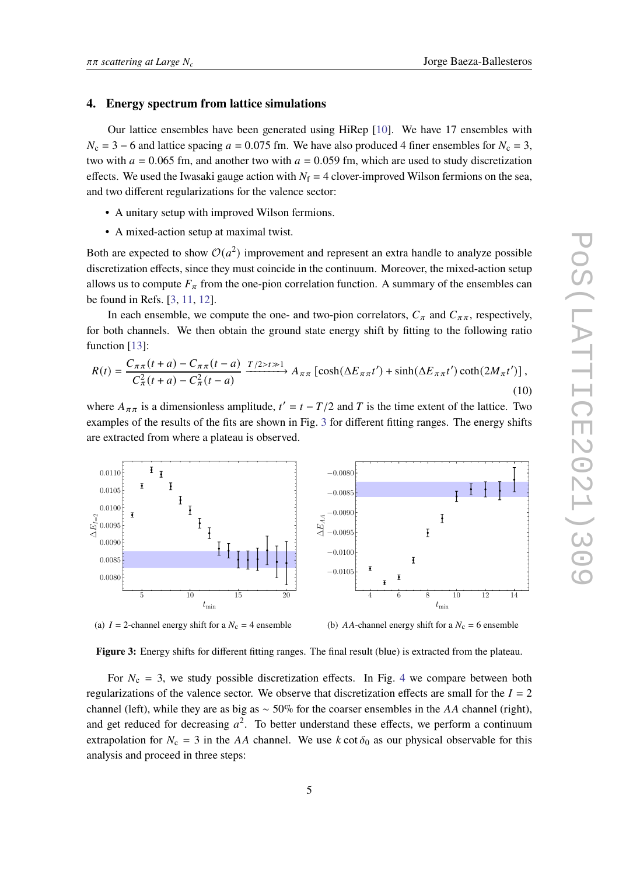#### **4. Energy spectrum from lattice simulations**

Our lattice ensembles have been generated using HiRep [\[10\]](#page-9-3). We have 17 ensembles with  $N_c = 3 - 6$  and lattice spacing  $a = 0.075$  fm. We have also produced 4 finer ensembles for  $N_c = 3$ , two with  $a = 0.065$  fm, and another two with  $a = 0.059$  fm, which are used to study discretization effects. We used the Iwasaki gauge action with  $N_f = 4$  clover-improved Wilson fermions on the sea, and two different regularizations for the valence sector:

- A unitary setup with improved Wilson fermions.
- A mixed-action setup at maximal twist.

Both are expected to show  $\mathcal{O}(a^2)$  improvement and represent an extra handle to analyze possible discretization effects, since they must coincide in the continuum. Moreover, the mixed-action setup allows us to compute  $F_{\pi}$  from the one-pion correlation function. A summary of the ensembles can be found in Refs. [\[3,](#page-8-2) [11,](#page-9-4) [12\]](#page-9-5).

In each ensemble, we compute the one- and two-pion correlators,  $C_{\pi}$  and  $C_{\pi\pi}$ , respectively, for both channels. We then obtain the ground state energy shift by fitting to the following ratio function [\[13\]](#page-9-6):

$$
R(t) = \frac{C_{\pi\pi}(t+a) - C_{\pi\pi}(t-a)}{C_{\pi}^2(t+a) - C_{\pi}^2(t-a)} \xrightarrow{T/2 > t \gg 1} A_{\pi\pi} \left[ \cosh(\Delta E_{\pi\pi}t') + \sinh(\Delta E_{\pi\pi}t') \coth(2M_{\pi}t') \right],
$$
\n(10)

where  $A_{\pi\pi}$  is a dimensionless amplitude,  $t' = t - T/2$  and T is the time extent of the lattice. Two examples of the results of the fits are shown in Fig. [3](#page-4-0) for different fitting ranges. The energy shifts are extracted from where a plateau is observed.

<span id="page-4-0"></span>

(a)  $I = 2$ -channel energy shift for a  $N_c = 4$  ensemble

(b)  $AA$ -channel energy shift for a  $N_c = 6$  ensemble

**Figure 3:** Energy shifts for different fitting ranges. The final result (blue) is extracted from the plateau.

For  $N_c = 3$ , we study possible discretization effects. In Fig. [4](#page-5-0) we compare between both regularizations of the valence sector. We observe that discretization effects are small for the  $I = 2$ channel (left), while they are as big as  $\sim$  50% for the coarser ensembles in the AA channel (right), and get reduced for decreasing  $a^2$ . To better understand these effects, we perform a continuum extrapolation for  $N_c = 3$  in the AA channel. We use k cot  $\delta_0$  as our physical observable for this analysis and proceed in three steps: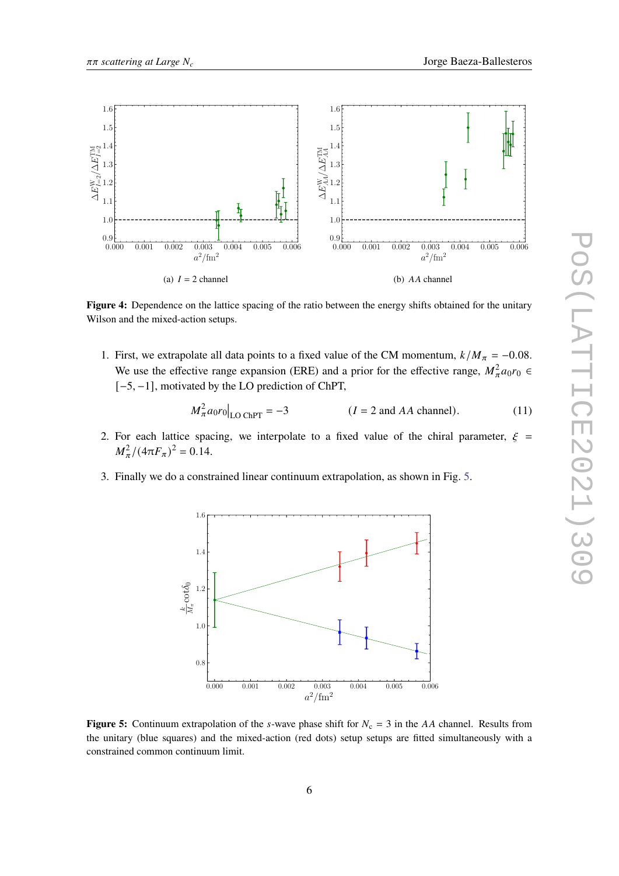<span id="page-5-0"></span>

**Figure 4:** Dependence on the lattice spacing of the ratio between the energy shifts obtained for the unitary Wilson and the mixed-action setups.

1. First, we extrapolate all data points to a fixed value of the CM momentum,  $k/M_{\pi} = -0.08$ . We use the effective range expansion (ERE) and a prior for the effective range,  $M_{\pi}^2 a_0 r_0 \in$ [−5, −1], motivated by the LO prediction of ChPT,

<span id="page-5-2"></span>
$$
M_{\pi}^2 a_0 r_0 \big|_{\text{LO ChPT}} = -3 \qquad (I = 2 \text{ and } AA \text{ channel}). \tag{11}
$$

- 2. For each lattice spacing, we interpolate to a fixed value of the chiral parameter,  $\xi$  =  $M_{\pi}^2/(4\pi F_{\pi})^2 = 0.14.$
- <span id="page-5-1"></span>3. Finally we do a constrained linear continuum extrapolation, as shown in Fig. [5.](#page-5-1)



**Figure 5:** Continuum extrapolation of the *s*-wave phase shift for  $N_c = 3$  in the AA channel. Results from the unitary (blue squares) and the mixed-action (red dots) setup setups are fitted simultaneously with a constrained common continuum limit.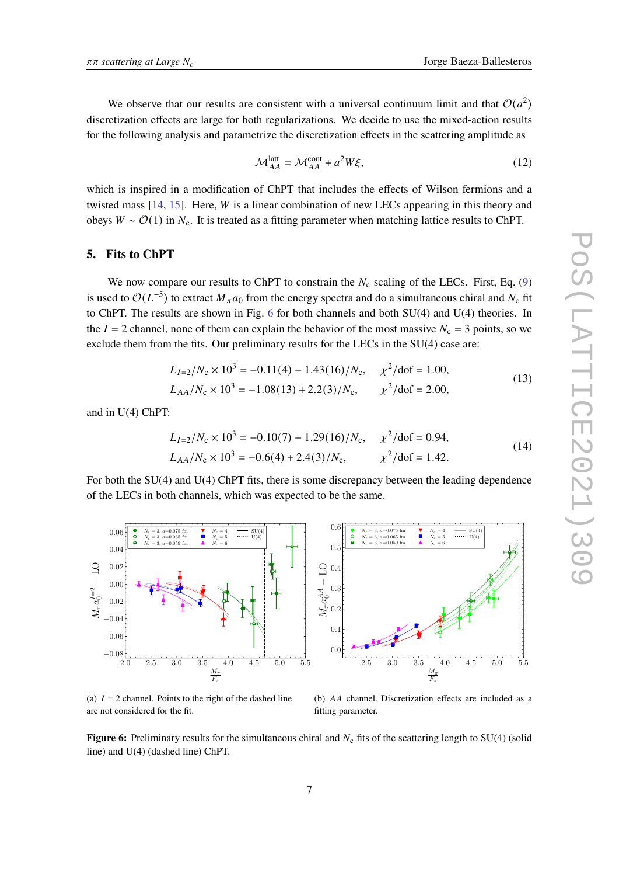We observe that our results are consistent with a universal continuum limit and that  $O(a^2)$ discretization effects are large for both regularizations. We decide to use the mixed-action results for the following analysis and parametrize the discretization effects in the scattering amplitude as

$$
\mathcal{M}_{AA}^{\text{latt}} = \mathcal{M}_{AA}^{\text{cont}} + a^2 W \xi,
$$
\n(12)

which is inspired in a modification of ChPT that includes the effects of Wilson fermions and a twisted mass  $[14, 15]$  $[14, 15]$  $[14, 15]$ . Here, W is a linear combination of new LECs appearing in this theory and obeys  $W \sim \mathcal{O}(1)$  in  $N_c$ . It is treated as a fitting parameter when matching lattice results to ChPT.

#### **5. Fits to ChPT**

We now compare our results to ChPT to constrain the  $N_c$  scaling of the LECs. First, Eq. [\(9\)](#page-3-1) is used to  $\mathcal{O}(L^{-5})$  to extract  $M_{\pi}a_0$  from the energy spectra and do a simultaneous chiral and  $N_c$  fit to ChPT. The results are shown in Fig. [6](#page-6-0) for both channels and both SU(4) and U(4) theories. In the  $I = 2$  channel, none of them can explain the behavior of the most massive  $N_c = 3$  points, so we exclude them from the fits. Our preliminary results for the LECs in the SU(4) case are:

$$
L_{I=2}/N_c \times 10^3 = -0.11(4) - 1.43(16)/N_c, \quad \chi^2/\text{dof} = 1.00,
$$
  

$$
L_{AA}/N_c \times 10^3 = -1.08(13) + 2.2(3)/N_c, \quad \chi^2/\text{dof} = 2.00,
$$
 (13)

and in U(4) ChPT:

$$
L_{I=2}/N_c \times 10^3 = -0.10(7) - 1.29(16)/N_c, \quad \chi^2/\text{dof} = 0.94,
$$
  
\n
$$
L_{AA}/N_c \times 10^3 = -0.6(4) + 2.4(3)/N_c, \quad \chi^2/\text{dof} = 1.42.
$$
\n(14)

For both the SU(4) and U(4) ChPT fits, there is some discrepancy between the leading dependence of the LECs in both channels, which was expected to be the same.

<span id="page-6-0"></span>

(a)  $I = 2$  channel. Points to the right of the dashed line are not considered for the fit.

(b) AA channel. Discretization effects are included as a fitting parameter.

**Figure 6:** Preliminary results for the simultaneous chiral and  $N_c$  fits of the scattering length to SU(4) (solid line) and U(4) (dashed line) ChPT.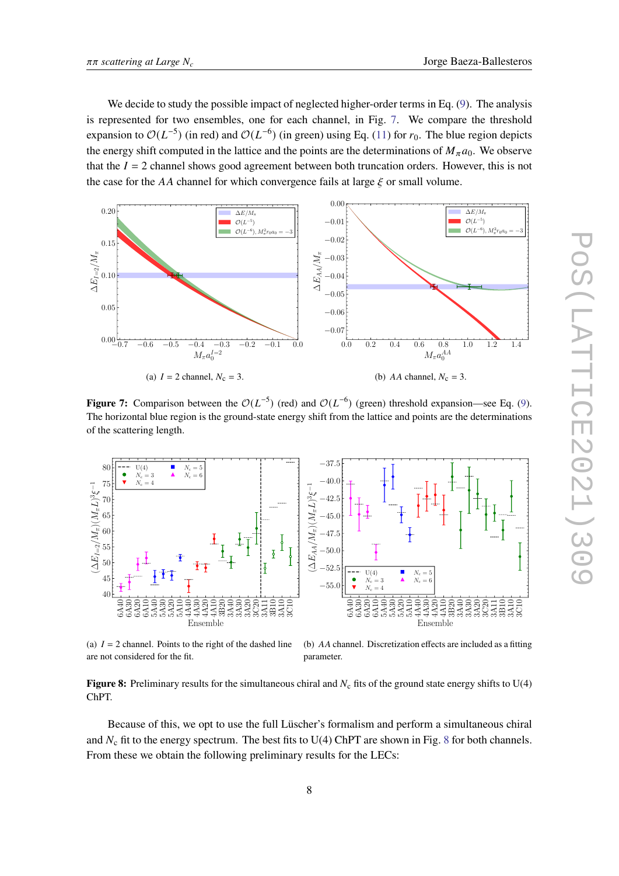We decide to study the possible impact of neglected higher-order terms in Eq. [\(9\)](#page-3-1). The analysis is represented for two ensembles, one for each channel, in Fig. [7.](#page-7-0) We compare the threshold expansion to  $\mathcal{O}(L^{-5})$  (in red) and  $\mathcal{O}(L^{-6})$  (in green) using Eq. [\(11\)](#page-5-2) for  $r_0$ . The blue region depicts the energy shift computed in the lattice and the points are the determinations of  $M_{\pi}a_0$ . We observe that the  $I = 2$  channel shows good agreement between both truncation orders. However, this is not the case for the AA channel for which convergence fails at large  $\xi$  or small volume.

<span id="page-7-0"></span>

**Figure 7:** Comparison between the  $O(L^{-5})$  (red) and  $O(L^{-6})$  (green) threshold expansion—see Eq. [\(9\)](#page-3-1). The horizontal blue region is the ground-state energy shift from the lattice and points are the determinations of the scattering length.

<span id="page-7-1"></span>

(a)  $I = 2$  channel. Points to the right of the dashed line

(b)  $AA$  channel. Discretization effects are included as a fitting parameter.

**Figure 8:** Preliminary results for the simultaneous chiral and  $N_c$  fits of the ground state energy shifts to U(4) ChPT.

Because of this, we opt to use the full Lüscher's formalism and perform a simultaneous chiral and  $N_c$  fit to the energy spectrum. The best fits to U(4) ChPT are shown in Fig. [8](#page-7-1) for both channels. From these we obtain the following preliminary results for the LECs: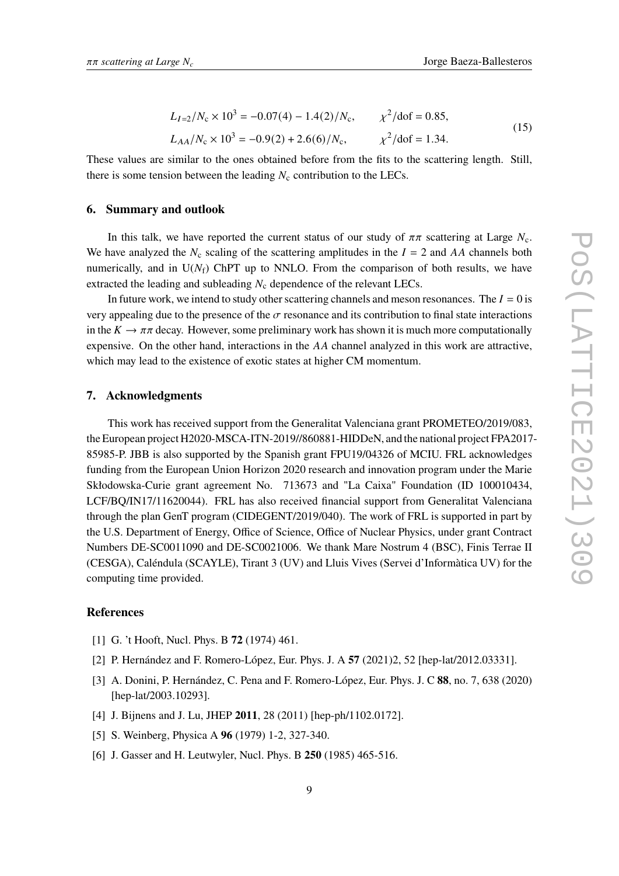$$
L_{I=2}/N_c \times 10^3 = -0.07(4) - 1.4(2)/N_c, \qquad \chi^2/\text{dof} = 0.85,
$$
  

$$
L_{AA}/N_c \times 10^3 = -0.9(2) + 2.6(6)/N_c, \qquad \chi^2/\text{dof} = 1.34.
$$
 (15)

These values are similar to the ones obtained before from the fits to the scattering length. Still, there is some tension between the leading  $N_c$  contribution to the LECs.

#### **6. Summary and outlook**

In this talk, we have reported the current status of our study of  $\pi\pi$  scattering at Large  $N_c$ . We have analyzed the  $N_c$  scaling of the scattering amplitudes in the  $I = 2$  and AA channels both numerically, and in  $U(N_f)$  ChPT up to NNLO. From the comparison of both results, we have extracted the leading and subleading  $N_c$  dependence of the relevant LECs.

In future work, we intend to study other scattering channels and meson resonances. The  $I = 0$  is very appealing due to the presence of the  $\sigma$  resonance and its contribution to final state interactions in the  $K \to \pi \pi$  decay. However, some preliminary work has shown it is much more computationally expensive. On the other hand, interactions in the  $AA$  channel analyzed in this work are attractive, which may lead to the existence of exotic states at higher CM momentum.

#### **7. Acknowledgments**

This work has received support from the Generalitat Valenciana grant PROMETEO/2019/083, the European project H2020-MSCA-ITN-2019//860881-HIDDeN, and the national project FPA2017- 85985-P. JBB is also supported by the Spanish grant FPU19/04326 of MCIU. FRL acknowledges funding from the European Union Horizon 2020 research and innovation program under the Marie Skłodowska-Curie grant agreement No. 713673 and "La Caixa" Foundation (ID 100010434, LCF/BQ/IN17/11620044). FRL has also received financial support from Generalitat Valenciana through the plan GenT program (CIDEGENT/2019/040). The work of FRL is supported in part by the U.S. Department of Energy, Office of Science, Office of Nuclear Physics, under grant Contract Numbers DE-SC0011090 and DE-SC0021006. We thank Mare Nostrum 4 (BSC), Finis Terrae II (CESGA), Caléndula (SCAYLE), Tirant 3 (UV) and Lluis Vives (Servei d'Informàtica UV) for the computing time provided.

#### **References**

- <span id="page-8-0"></span>[1] G. 't Hooft, Nucl. Phys. B **72** (1974) 461.
- <span id="page-8-1"></span>[2] P. Hernández and F. Romero-López, Eur. Phys. J. A **57** (2021)2, 52 [hep-lat/2012.03331].
- <span id="page-8-2"></span>[3] A. Donini, P. Hernández, C. Pena and F. Romero-López, Eur. Phys. J. C **88**, no. 7, 638 (2020) [hep-lat/2003.10293].
- <span id="page-8-3"></span>[4] J. Bijnens and J. Lu, JHEP **2011**, 28 (2011) [hep-ph/1102.0172].
- <span id="page-8-4"></span>[5] S. Weinberg, Physica A **96** (1979) 1-2, 327-340.
- <span id="page-8-5"></span>[6] J. Gasser and H. Leutwyler, Nucl. Phys. B **250** (1985) 465-516.